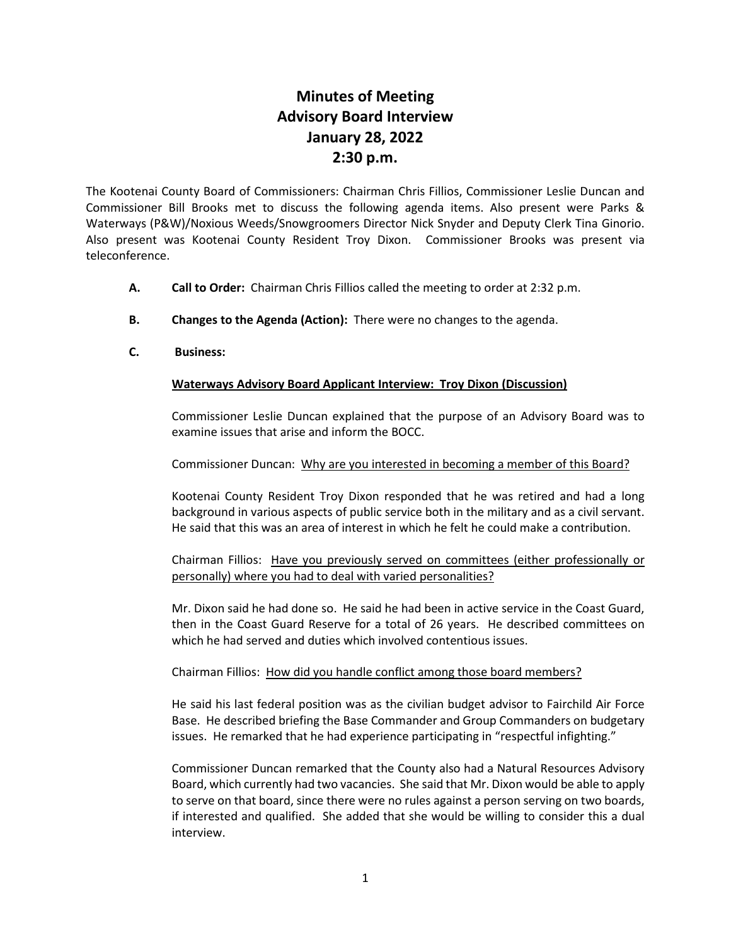# **Minutes of Meeting Advisory Board Interview January 28, 2022 2:30 p.m.**

The Kootenai County Board of Commissioners: Chairman Chris Fillios, Commissioner Leslie Duncan and Commissioner Bill Brooks met to discuss the following agenda items. Also present were Parks & Waterways (P&W)/Noxious Weeds/Snowgroomers Director Nick Snyder and Deputy Clerk Tina Ginorio. Also present was Kootenai County Resident Troy Dixon. Commissioner Brooks was present via teleconference.

- **A. Call to Order:** Chairman Chris Fillios called the meeting to order at 2:32 p.m.
- **B. Changes to the Agenda (Action):** There were no changes to the agenda.
- **C. Business:**

### **Waterways Advisory Board Applicant Interview: Troy Dixon (Discussion)**

Commissioner Leslie Duncan explained that the purpose of an Advisory Board was to examine issues that arise and inform the BOCC.

### Commissioner Duncan: Why are you interested in becoming a member of this Board?

Kootenai County Resident Troy Dixon responded that he was retired and had a long background in various aspects of public service both in the military and as a civil servant. He said that this was an area of interest in which he felt he could make a contribution.

Chairman Fillios: Have you previously served on committees (either professionally or personally) where you had to deal with varied personalities?

Mr. Dixon said he had done so. He said he had been in active service in the Coast Guard, then in the Coast Guard Reserve for a total of 26 years. He described committees on which he had served and duties which involved contentious issues.

### Chairman Fillios: How did you handle conflict among those board members?

He said his last federal position was as the civilian budget advisor to Fairchild Air Force Base. He described briefing the Base Commander and Group Commanders on budgetary issues. He remarked that he had experience participating in "respectful infighting."

Commissioner Duncan remarked that the County also had a Natural Resources Advisory Board, which currently had two vacancies. She said that Mr. Dixon would be able to apply to serve on that board, since there were no rules against a person serving on two boards, if interested and qualified. She added that she would be willing to consider this a dual interview.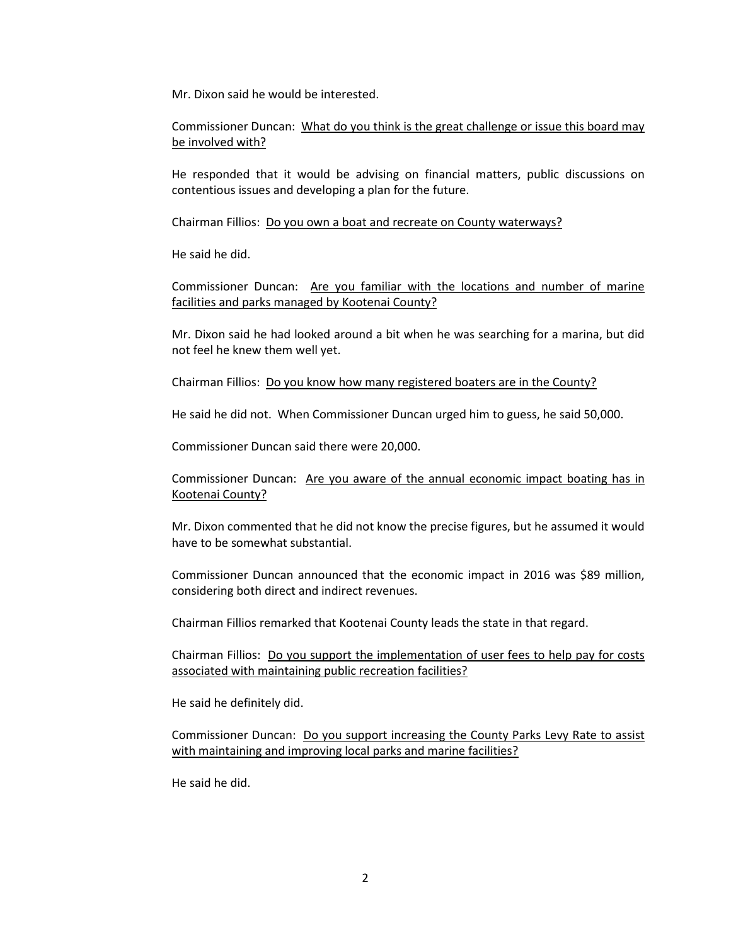Mr. Dixon said he would be interested.

Commissioner Duncan: What do you think is the great challenge or issue this board may be involved with?

He responded that it would be advising on financial matters, public discussions on contentious issues and developing a plan for the future.

Chairman Fillios: Do you own a boat and recreate on County waterways?

He said he did.

Commissioner Duncan: Are you familiar with the locations and number of marine facilities and parks managed by Kootenai County?

Mr. Dixon said he had looked around a bit when he was searching for a marina, but did not feel he knew them well yet.

Chairman Fillios: Do you know how many registered boaters are in the County?

He said he did not. When Commissioner Duncan urged him to guess, he said 50,000.

Commissioner Duncan said there were 20,000.

Commissioner Duncan: Are you aware of the annual economic impact boating has in Kootenai County?

Mr. Dixon commented that he did not know the precise figures, but he assumed it would have to be somewhat substantial.

Commissioner Duncan announced that the economic impact in 2016 was \$89 million, considering both direct and indirect revenues.

Chairman Fillios remarked that Kootenai County leads the state in that regard.

Chairman Fillios: Do you support the implementation of user fees to help pay for costs associated with maintaining public recreation facilities?

He said he definitely did.

Commissioner Duncan: Do you support increasing the County Parks Levy Rate to assist with maintaining and improving local parks and marine facilities?

He said he did.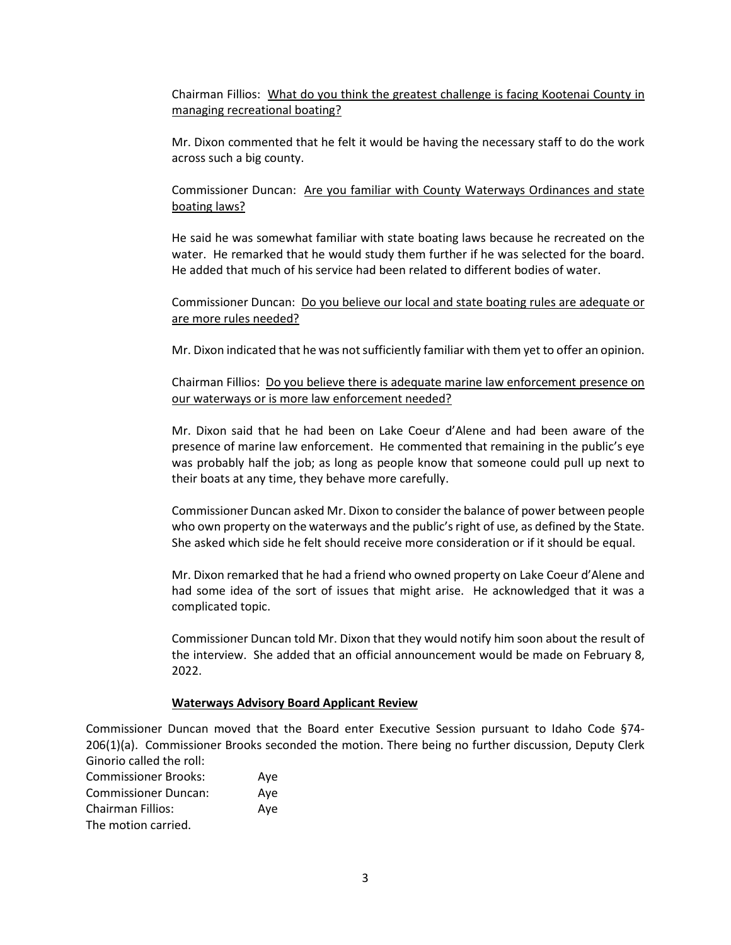Chairman Fillios: What do you think the greatest challenge is facing Kootenai County in managing recreational boating?

Mr. Dixon commented that he felt it would be having the necessary staff to do the work across such a big county.

Commissioner Duncan: Are you familiar with County Waterways Ordinances and state boating laws?

He said he was somewhat familiar with state boating laws because he recreated on the water. He remarked that he would study them further if he was selected for the board. He added that much of his service had been related to different bodies of water.

Commissioner Duncan: Do you believe our local and state boating rules are adequate or are more rules needed?

Mr. Dixon indicated that he was not sufficiently familiar with them yet to offer an opinion.

Chairman Fillios: Do you believe there is adequate marine law enforcement presence on our waterways or is more law enforcement needed?

Mr. Dixon said that he had been on Lake Coeur d'Alene and had been aware of the presence of marine law enforcement. He commented that remaining in the public's eye was probably half the job; as long as people know that someone could pull up next to their boats at any time, they behave more carefully.

Commissioner Duncan asked Mr. Dixon to consider the balance of power between people who own property on the waterways and the public's right of use, as defined by the State. She asked which side he felt should receive more consideration or if it should be equal.

Mr. Dixon remarked that he had a friend who owned property on Lake Coeur d'Alene and had some idea of the sort of issues that might arise. He acknowledged that it was a complicated topic.

Commissioner Duncan told Mr. Dixon that they would notify him soon about the result of the interview. She added that an official announcement would be made on February 8, 2022.

#### **Waterways Advisory Board Applicant Review**

Commissioner Duncan moved that the Board enter Executive Session pursuant to Idaho Code §74- 206(1)(a). Commissioner Brooks seconded the motion. There being no further discussion, Deputy Clerk Ginorio called the roll:

| <b>Commissioner Brooks:</b> | Aye |
|-----------------------------|-----|
| <b>Commissioner Duncan:</b> | Ave |
| <b>Chairman Fillios:</b>    | Aye |
| The motion carried.         |     |